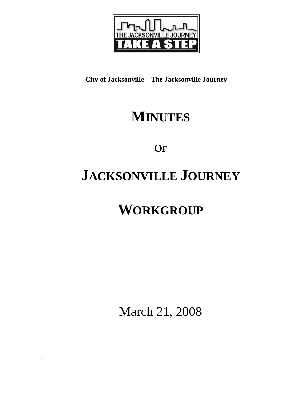

**City of Jacksonville – The Jacksonville Journey** 

# **MINUTES**

**OF**

# **JACKSONVILLE JOURNEY**

# **WORKGROUP**

March 21, 2008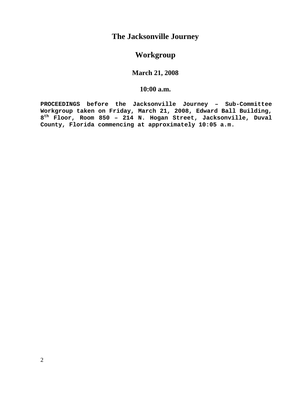# **The Jacksonville Journey**

# **Workgroup**

## **March 21, 2008**

### **10:00 a.m.**

**PROCEEDINGS before the Jacksonville Journey – Sub-Committee Workgroup taken on Friday, March 21, 2008, Edward Ball Building, 8th Floor, Room 850 – 214 N. Hogan Street, Jacksonville, Duval County, Florida commencing at approximately 10:05 a.m.**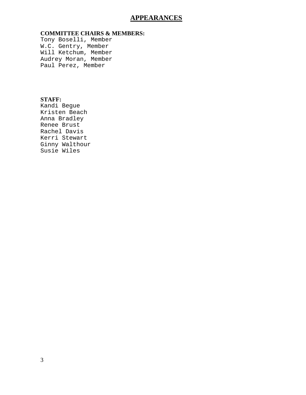## **APPEARANCES**

### **COMMITTEE CHAIRS & MEMBERS:**

Tony Boselli, Member W.C. Gentry, Member Will Ketchum, Member Audrey Moran, Member Paul Perez, Member

### **STAFF:**

Kandi Begue Kristen Beach Anna Bradley Renee Brust Rachel Davis Kerri Stewart Ginny Walthour Susie Wiles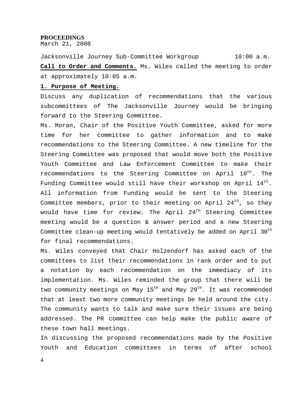#### **PROCEEDINGS**

March 21, 2008

Jacksonville Journey Sub-Committee Workgroup 10:00 a.m. **Call to Order and Comments.** Ms. Wiles called the meeting to order at approximately 10:05 a.m.

#### **1. Purpose of Meeting.**

Discuss any duplication of recommendations that the various subcommittees of The Jacksonville Journey would be bringing forward to the Steering Committee.

Ms. Moran, Chair of the Positive Youth Committee, asked for more time for her committee to gather information and to make recommendations to the Steering Committee. A new timeline for the Steering Committee was proposed that would move both the Positive Youth Committee and Law Enforcement Committee to make their recommendations to the Steering Committee on April 10<sup>th</sup>. The Funding Committee would still have their workshop on April  $14^{th}$ . All information from Funding would be sent to the Steering Committee members, prior to their meeting on April  $24<sup>th</sup>$ , so they would have time for review. The April  $24<sup>th</sup>$  Steering Committee meeting would be a question & answer period and a new Steering Committee clean-up meeting would tentatively be added on April 30<sup>th</sup> for final recommendations.

Ms. Wiles conveyed that Chair Holzendorf has asked each of the committees to list their recommendations in rank order and to put a notation by each recommendation on the immediacy of its implementation. Ms. Wiles reminded the group that there will be two community meetings on May 15<sup>th</sup> and May 29<sup>th</sup>. It was recommended that at least two more community meetings be held around the city. The community wants to talk and make sure their issues are being addressed. The PR committee can help make the public aware of these town hall meetings.

In discussing the proposed recommendations made by the Positive Youth and Education committees in terms of after school

4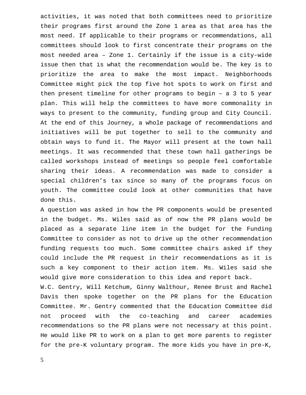activities, it was noted that both committees need to prioritize their programs first around the Zone 1 area as that area has the most need. If applicable to their programs or recommendations, all committees should look to first concentrate their programs on the most needed area – Zone 1. Certainly if the issue is a city-wide issue then that is what the recommendation would be. The key is to prioritize the area to make the most impact. Neighborhoods Committee might pick the top five hot spots to work on first and then present timeline for other programs to begin – a 3 to 5 year plan. This will help the committees to have more commonality in ways to present to the community, funding group and City Council. At the end of this Journey, a whole package of recommendations and initiatives will be put together to sell to the community and obtain ways to fund it. The Mayor will present at the town hall meetings. It was recommended that these town hall gatherings be called workshops instead of meetings so people feel comfortable sharing their ideas. A recommendation was made to consider a special children's tax since so many of the programs focus on youth. The committee could look at other communities that have done this.

A question was asked in how the PR components would be presented in the budget. Ms. Wiles said as of now the PR plans would be placed as a separate line item in the budget for the Funding Committee to consider as not to drive up the other recommendation funding requests too much. Some committee chairs asked if they could include the PR request in their recommendations as it is such a key component to their action item. Ms. Wiles said she would give more consideration to this idea and report back.

W.C. Gentry, Will Ketchum, Ginny Walthour, Renee Brust and Rachel Davis then spoke together on the PR plans for the Education Committee. Mr. Gentry commented that the Education Committee did not proceed with the co-teaching and career academies recommendations so the PR plans were not necessary at this point. He would like PR to work on a plan to get more parents to register for the pre-K voluntary program. The more kids you have in pre-K,

5